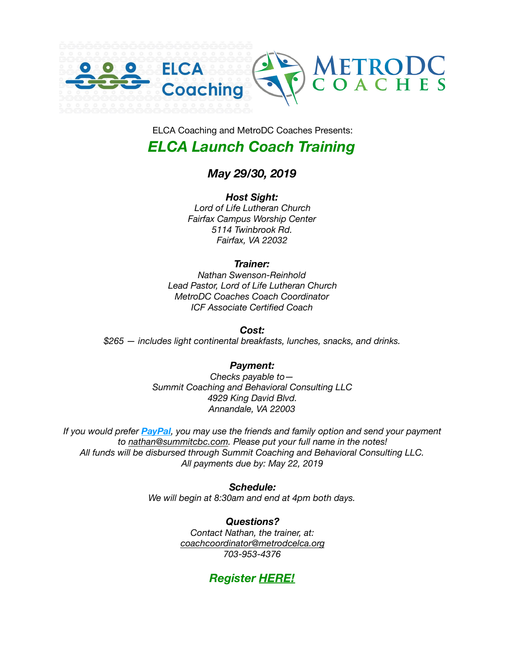

ELCA Coaching and MetroDC Coaches Presents:

## *ELCA Launch Coach Training*

### *May 29/30, 2019*

*Host Sight: Lord of Life Lutheran Church Fairfax Campus Worship Center 5114 Twinbrook Rd. Fairfax, VA 22032* 

### *Trainer:*

*Nathan Swenson-Reinhold Lead Pastor, Lord of Life Lutheran Church MetroDC Coaches Coach Coordinator ICF Associate Certified Coach* 

### *Cost:*

*\$265 — includes light continental breakfasts, lunches, snacks, and drinks.* 

### *Payment:*

*Checks payable to— Summit Coaching and Behavioral Consulting LLC 4929 King David Blvd. Annandale, VA 22003* 

*If you would prefer [PayPal](https://www.paypal.com/us/home), you may use the friends and family option and send your payment to [nathan@summitcbc.com.](mailto:nathan@summitcbc.com) Please put your full name in the notes! All funds will be disbursed through Summit Coaching and Behavioral Consulting LLC. All payments due by: May 22, 2019* 

> *Schedule: We will begin at 8:30am and end at 4pm both days.*

> > *Questions? Contact Nathan, the trainer, at: [coachcoordinator@metrodcelca.org](mailto:coachcoordinator@metrodcelca.org) 703-953-4376*

## *Register [HERE!](http://www.metrodccoaches.com/elca-launch-registration.html)*